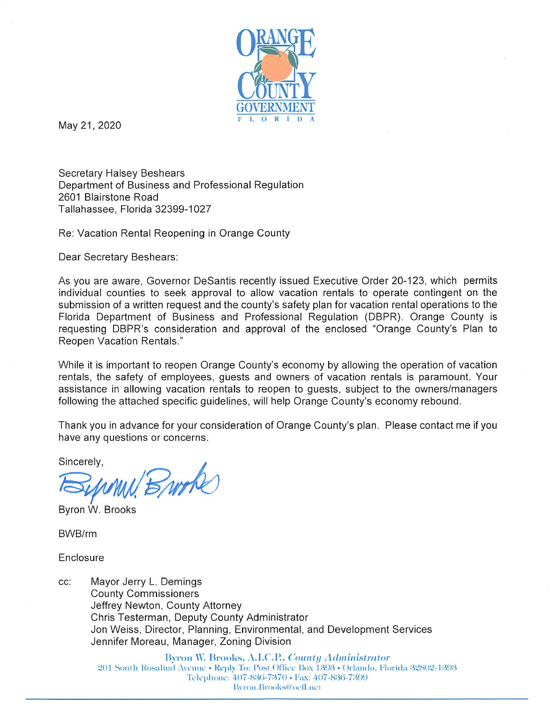

May 21, 2020

**Secretary Halsey Beshears** Department of Business and Professional Regulation 2601 Blairstone Road Tallahassee, Florida 32399-1027

Re: Vacation Rental Reopening in Orange County

Dear Secretary Beshears:

As you are aware, Governor DeSantis recently issued Executive Order 20-123, which permits individual counties to seek approval to allow vacation rentals to operate contingent on the submission of a written request and the county's safety plan for vacation rental operations to the Florida Department of Business and Professional Regulation (DBPR). Orange County is requesting DBPR's consideration and approval of the enclosed "Orange County's Plan to Reopen Vacation Rentals."

While it is important to reopen Orange County's economy by allowing the operation of vacation rentals, the safety of employees, quests and owners of vacation rentals is paramount. Your assistance in allowing vacation rentals to reopen to guests, subject to the owners/managers following the attached specific guidelines, will help Orange County's economy rebound.

Thank you in advance for your consideration of Orange County's plan. Please contact me if you have any questions or concerns.

Sincerely,

Burke

Byron W. Brooks

BWB/rm

Enclosure

Mayor Jerry L. Demings CC: **County Commissioners** Jeffrey Newton, County Attorney Chris Testerman, Deputy County Administrator Jon Weiss, Director, Planning, Environmental, and Development Services Jennifer Moreau, Manager, Zoning Division

> Byron W. Brooks, A.I.C.P., County Administrator 201 South Rosalind Avenue • Reply To: Post Office Box 1393 • Orlando, Florida 32802-1393 Telephone: 407-836-7370 · Fax: 407-836-7399 Byron.Brooks@ocfl.net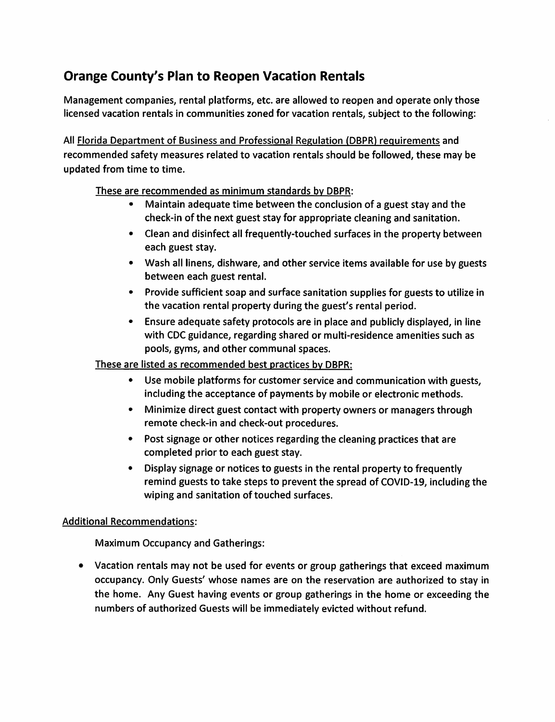## Orange County's Plan to Reopen Vacation Rentals

Management companies, rental platforms, etc. are allowed to reopen and operate only those licensed vacation rentals in communities zoned for vacation rentals, subject to the following:

All Florida Department of Business and Professional Regulation (DBPR) requirements and recommended safety measures related to vacation rentals should be followed, these may be updated from time to time.

These are recommended as minimum standards by DBPR:

- Maintain adequate time between the conclusion of a guest stay and the check-in of the next guest stay for appropriate cleaning and sanitation.
- Clean and disinfect all frequently-touched surfaces in the property between each guest stay.
- Wash all linens, dishware, and other service items available for use by guests between each guest rental.
- Provide sufficient soap and surface sanitation supplies for guests to utilize in the vacation rental property during the guest's rental period.
- Ensure adequate safety protocols are in place and publicly displayed, in line with CDC guidance, regarding shared or multi-residence amenities such as pools, gyms, and other communal spaces.

## These are listed as recommended best practices by DBPR:

- Use mobile platforms for customer service and communication with guests, including the acceptance of payments by mobile or electronic methods.
- Minimize direct guest contact with property owners or managers through remote check-in and check-out procedures.
- Post signage or other notices regarding the cleaning practices that are completed prior to each guest stay.
- Display signage or notices to guests in the rental property to frequently remind guests to take steps to prevent the spread of COVID-19, including the wiping and sanitation of touched surfaces.

## Additional Recommendations:

Maximum Occupancy and Gatherings:

• Vacation rentals may not be used for events or group gatherings that exceed maximum occupancy. Only Guests' whose names are on the reservation are authorized to stay in the home. Any Guest having events or group gatherings in the home or exceeding the numbers of authorized Guests will be immediately evicted without refund.